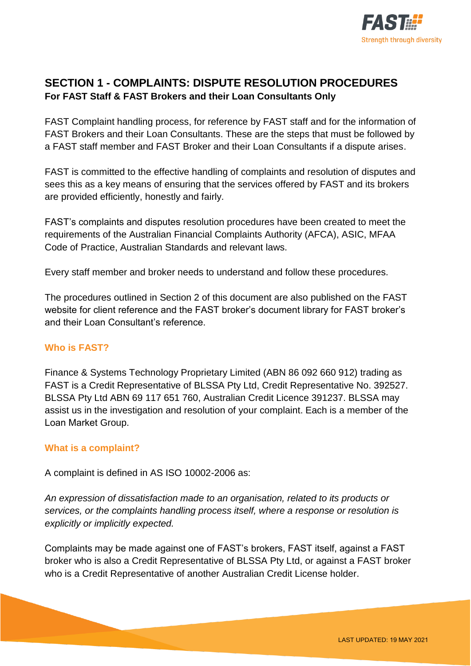

# **SECTION 1 - COMPLAINTS: DISPUTE RESOLUTION PROCEDURES For FAST Staff & FAST Brokers and their Loan Consultants Only**

FAST Complaint handling process, for reference by FAST staff and for the information of FAST Brokers and their Loan Consultants. These are the steps that must be followed by a FAST staff member and FAST Broker and their Loan Consultants if a dispute arises.

FAST is committed to the effective handling of complaints and resolution of disputes and sees this as a key means of ensuring that the services offered by FAST and its brokers are provided efficiently, honestly and fairly.

FAST's complaints and disputes resolution procedures have been created to meet the requirements of the Australian Financial Complaints Authority (AFCA), ASIC, MFAA Code of Practice, Australian Standards and relevant laws.

Every staff member and broker needs to understand and follow these procedures.

The procedures outlined in Section 2 of this document are also published on the FAST website for client reference and the FAST broker's document library for FAST broker's and their Loan Consultant's reference.

## **Who is FAST?**

Finance & Systems Technology Proprietary Limited (ABN 86 092 660 912) trading as FAST is a Credit Representative of BLSSA Pty Ltd, Credit Representative No. 392527. BLSSA Pty Ltd ABN 69 117 651 760, Australian Credit Licence 391237. BLSSA may assist us in the investigation and resolution of your complaint. Each is a member of the Loan Market Group.

### **What is a complaint?**

A complaint is defined in AS ISO 10002-2006 as:

*An expression of dissatisfaction made to an organisation, related to its products or services, or the complaints handling process itself, where a response or resolution is explicitly or implicitly expected.* 

Complaints may be made against one of FAST's brokers, FAST itself, against a FAST broker who is also a Credit Representative of BLSSA Pty Ltd, or against a FAST broker who is a Credit Representative of another Australian Credit License holder.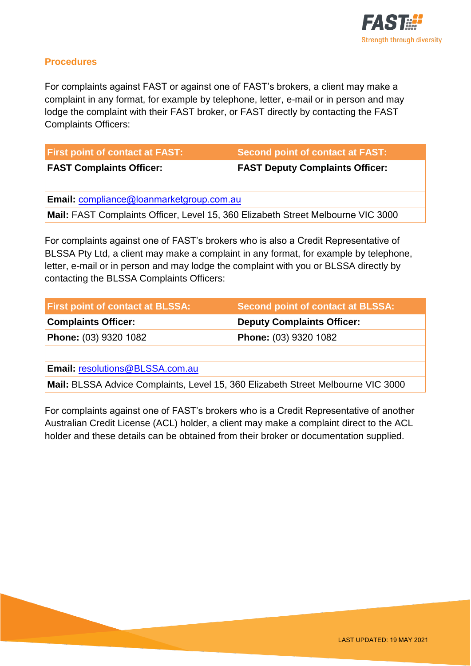

### **Procedures**

For complaints against FAST or against one of FAST's brokers, a client may make a complaint in any format, for example by telephone, letter, e-mail or in person and may lodge the complaint with their FAST broker, or FAST directly by contacting the FAST Complaints Officers:

| <b>First point of contact at FAST:</b>          | Second point of contact at FAST:       |  |
|-------------------------------------------------|----------------------------------------|--|
| <b>FAST Complaints Officer:</b>                 | <b>FAST Deputy Complaints Officer:</b> |  |
|                                                 |                                        |  |
| <b>Email: compliance@loanmarketgroup.com.au</b> |                                        |  |

**Mail:** FAST Complaints Officer, Level 15, 360 Elizabeth Street Melbourne VIC 3000

For complaints against one of FAST's brokers who is also a Credit Representative of BLSSA Pty Ltd, a client may make a complaint in any format, for example by telephone, letter, e-mail or in person and may lodge the complaint with you or BLSSA directly by contacting the BLSSA Complaints Officers:

| <b>First point of contact at BLSSA:</b> | Second point of contact at BLSSA: |
|-----------------------------------------|-----------------------------------|
| <b>Complaints Officer:</b>              | <b>Deputy Complaints Officer:</b> |
| Phone: (03) 9320 1082                   | <b>Phone: (03) 9320 1082</b>      |
|                                         |                                   |
| Email: resolutions@BLSSA.com.au         |                                   |

**Mail:** BLSSA Advice Complaints, Level 15, 360 Elizabeth Street Melbourne VIC 3000

For complaints against one of FAST's brokers who is a Credit Representative of another Australian Credit License (ACL) holder, a client may make a complaint direct to the ACL holder and these details can be obtained from their broker or documentation supplied.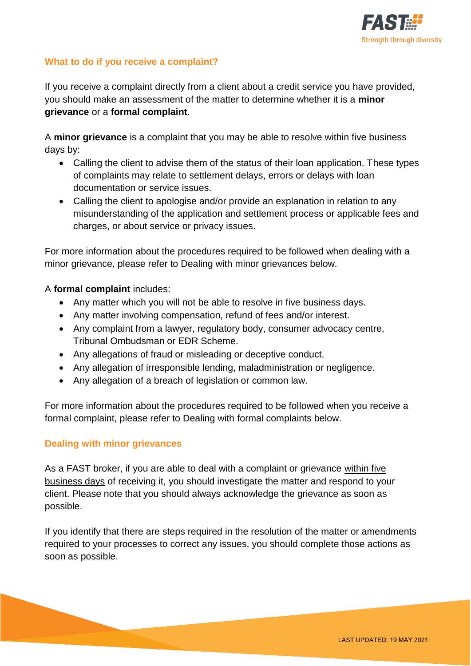

## **What to do if you receive a complaint?**

If you receive a complaint directly from a client about a credit service you have provided, you should make an assessment of the matter to determine whether it is a **minor grievance** or a **formal complaint**.

A **minor grievance** is a complaint that you may be able to resolve within five business days by:

- Calling the client to advise them of the status of their loan application. These types of complaints may relate to settlement delays, errors or delays with loan documentation or service issues.
- Calling the client to apologise and/or provide an explanation in relation to any misunderstanding of the application and settlement process or applicable fees and charges, or about service or privacy issues.

For more information about the procedures required to be followed when dealing with a minor grievance, please refer to Dealing with minor grievances below.

### A **formal complaint** includes:

- Any matter which you will not be able to resolve in five business days.
- Any matter involving compensation, refund of fees and/or interest.
- Any complaint from a lawyer, regulatory body, consumer advocacy centre, Tribunal Ombudsman or EDR Scheme.
- Any allegations of fraud or misleading or deceptive conduct.
- Any allegation of irresponsible lending, maladministration or negligence.
- Any allegation of a breach of legislation or common law.

For more information about the procedures required to be followed when you receive a formal complaint, please refer to Dealing with formal complaints below.

### **Dealing with minor grievances**

As a FAST broker, if you are able to deal with a complaint or grievance within five business days of receiving it, you should investigate the matter and respond to your client. Please note that you should always acknowledge the grievance as soon as possible.

If you identify that there are steps required in the resolution of the matter or amendments required to your processes to correct any issues, you should complete those actions as soon as possible.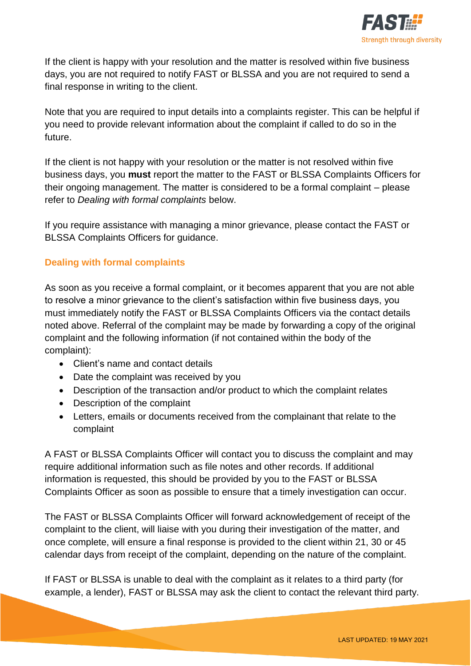

If the client is happy with your resolution and the matter is resolved within five business days, you are not required to notify FAST or BLSSA and you are not required to send a final response in writing to the client.

Note that you are required to input details into a complaints register. This can be helpful if you need to provide relevant information about the complaint if called to do so in the future.

If the client is not happy with your resolution or the matter is not resolved within five business days, you **must** report the matter to the FAST or BLSSA Complaints Officers for their ongoing management. The matter is considered to be a formal complaint – please refer to *Dealing with formal complaints* below.

If you require assistance with managing a minor grievance, please contact the FAST or BLSSA Complaints Officers for guidance.

## **Dealing with formal complaints**

As soon as you receive a formal complaint, or it becomes apparent that you are not able to resolve a minor grievance to the client's satisfaction within five business days, you must immediately notify the FAST or BLSSA Complaints Officers via the contact details noted above. Referral of the complaint may be made by forwarding a copy of the original complaint and the following information (if not contained within the body of the complaint):

- Client's name and contact details
- Date the complaint was received by you
- Description of the transaction and/or product to which the complaint relates
- Description of the complaint
- Letters, emails or documents received from the complainant that relate to the complaint

A FAST or BLSSA Complaints Officer will contact you to discuss the complaint and may require additional information such as file notes and other records. If additional information is requested, this should be provided by you to the FAST or BLSSA Complaints Officer as soon as possible to ensure that a timely investigation can occur.

The FAST or BLSSA Complaints Officer will forward acknowledgement of receipt of the complaint to the client, will liaise with you during their investigation of the matter, and once complete, will ensure a final response is provided to the client within 21, 30 or 45 calendar days from receipt of the complaint, depending on the nature of the complaint.

If FAST or BLSSA is unable to deal with the complaint as it relates to a third party (for example, a lender), FAST or BLSSA may ask the client to contact the relevant third party.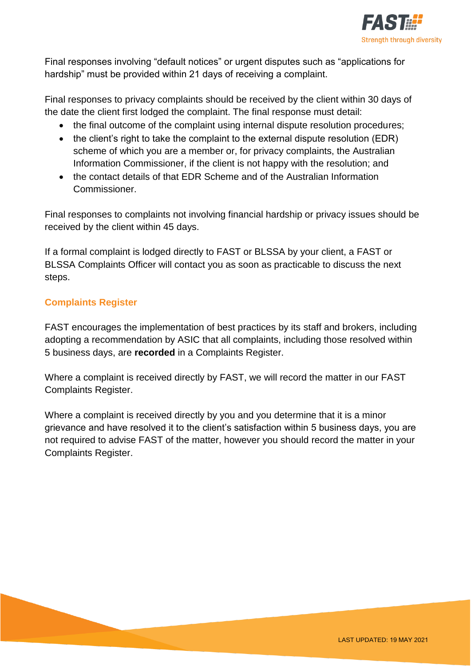

Final responses involving "default notices" or urgent disputes such as "applications for hardship" must be provided within 21 days of receiving a complaint.

Final responses to privacy complaints should be received by the client within 30 days of the date the client first lodged the complaint. The final response must detail:

- the final outcome of the complaint using internal dispute resolution procedures;
- the client's right to take the complaint to the external dispute resolution (EDR) scheme of which you are a member or, for privacy complaints, the Australian Information Commissioner, if the client is not happy with the resolution; and
- the contact details of that EDR Scheme and of the Australian Information Commissioner.

Final responses to complaints not involving financial hardship or privacy issues should be received by the client within 45 days.

If a formal complaint is lodged directly to FAST or BLSSA by your client, a FAST or BLSSA Complaints Officer will contact you as soon as practicable to discuss the next steps.

## **Complaints Register**

FAST encourages the implementation of best practices by its staff and brokers, including adopting a recommendation by ASIC that all complaints, including those resolved within 5 business days, are **recorded** in a Complaints Register.

Where a complaint is received directly by FAST, we will record the matter in our FAST Complaints Register.

Where a complaint is received directly by you and you determine that it is a minor grievance and have resolved it to the client's satisfaction within 5 business days, you are not required to advise FAST of the matter, however you should record the matter in your Complaints Register.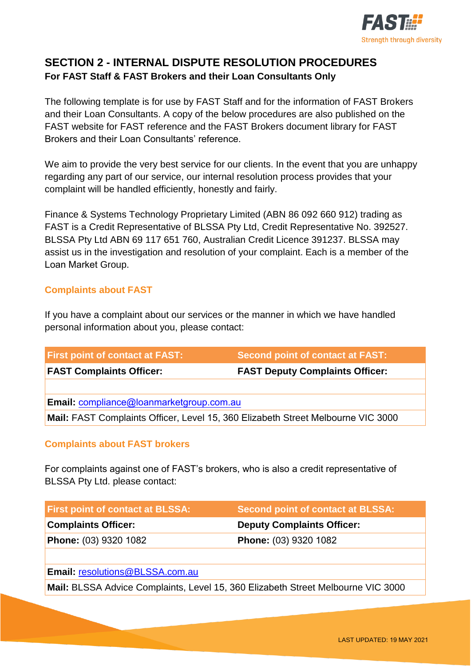

## **SECTION 2 - INTERNAL DISPUTE RESOLUTION PROCEDURES For FAST Staff & FAST Brokers and their Loan Consultants Only**

The following template is for use by FAST Staff and for the information of FAST Brokers and their Loan Consultants. A copy of the below procedures are also published on the FAST website for FAST reference and the FAST Brokers document library for FAST Brokers and their Loan Consultants' reference.

We aim to provide the very best service for our clients. In the event that you are unhappy regarding any part of our service, our internal resolution process provides that your complaint will be handled efficiently, honestly and fairly.

Finance & Systems Technology Proprietary Limited (ABN 86 092 660 912) trading as FAST is a Credit Representative of BLSSA Pty Ltd, Credit Representative No. 392527. BLSSA Pty Ltd ABN 69 117 651 760, Australian Credit Licence 391237. BLSSA may assist us in the investigation and resolution of your complaint. Each is a member of the Loan Market Group.

## **Complaints about FAST**

If you have a complaint about our services or the manner in which we have handled personal information about you, please contact:

| <b>First point of contact at FAST:</b>                                           | <b>Second point of contact at FAST:</b> |  |
|----------------------------------------------------------------------------------|-----------------------------------------|--|
| <b>FAST Complaints Officer:</b>                                                  | <b>FAST Deputy Complaints Officer:</b>  |  |
|                                                                                  |                                         |  |
| Email: compliance@loanmarketgroup.com.au                                         |                                         |  |
| Mail: FAST Complaints Officer, Level 15, 360 Elizabeth Street Melbourne VIC 3000 |                                         |  |

## **Complaints about FAST brokers**

For complaints against one of FAST's brokers, who is also a credit representative of BLSSA Pty Ltd. please contact:

| <b>First point of contact at BLSSA:</b> | Second point of contact at BLSSA: |
|-----------------------------------------|-----------------------------------|
| <b>Complaints Officer:</b>              | <b>Deputy Complaints Officer:</b> |
| Phone: (03) 9320 1082                   | Phone: (03) 9320 1082             |
|                                         |                                   |

**Email:** [resolutions@BLSSA.com.au](mailto:resolutions@BLSSA.com.au)

**Mail:** BLSSA Advice Complaints, Level 15, 360 Elizabeth Street Melbourne VIC 3000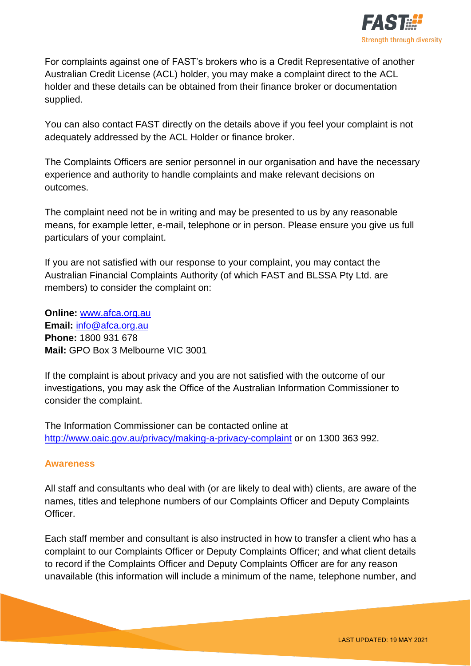

For complaints against one of FAST's brokers who is a Credit Representative of another Australian Credit License (ACL) holder, you may make a complaint direct to the ACL holder and these details can be obtained from their finance broker or documentation supplied.

You can also contact FAST directly on the details above if you feel your complaint is not adequately addressed by the ACL Holder or finance broker.

The Complaints Officers are senior personnel in our organisation and have the necessary experience and authority to handle complaints and make relevant decisions on outcomes.

The complaint need not be in writing and may be presented to us by any reasonable means, for example letter, e-mail, telephone or in person. Please ensure you give us full particulars of your complaint.

If you are not satisfied with our response to your complaint, you may contact the Australian Financial Complaints Authority (of which FAST and BLSSA Pty Ltd. are members) to consider the complaint on:

**Online:** [www.afca.org.au](http://www.afca.org.au/) **Email:** [info@afca.org.au](mailto:info@afca.org.au) **Phone:** 1800 931 678 **Mail:** GPO Box 3 Melbourne VIC 3001

If the complaint is about privacy and you are not satisfied with the outcome of our investigations, you may ask the Office of the Australian Information Commissioner to consider the complaint.

The Information Commissioner can be contacted online at <http://www.oaic.gov.au/privacy/making-a-privacy-complaint> or on 1300 363 992.

### **Awareness**

All staff and consultants who deal with (or are likely to deal with) clients, are aware of the names, titles and telephone numbers of our Complaints Officer and Deputy Complaints Officer.

Each staff member and consultant is also instructed in how to transfer a client who has a complaint to our Complaints Officer or Deputy Complaints Officer; and what client details to record if the Complaints Officer and Deputy Complaints Officer are for any reason unavailable (this information will include a minimum of the name, telephone number, and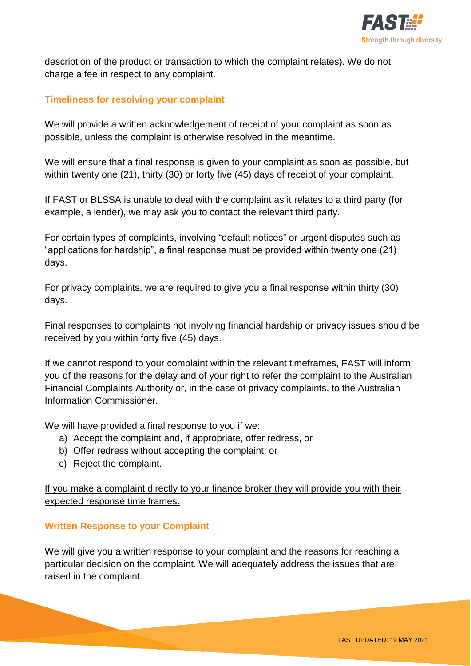

description of the product or transaction to which the complaint relates). We do not charge a fee in respect to any complaint.

## **Timeliness for resolving your complaint**

We will provide a written acknowledgement of receipt of your complaint as soon as possible, unless the complaint is otherwise resolved in the meantime.

We will ensure that a final response is given to your complaint as soon as possible, but within twenty one (21), thirty (30) or forty five (45) days of receipt of your complaint.

If FAST or BLSSA is unable to deal with the complaint as it relates to a third party (for example, a lender), we may ask you to contact the relevant third party.

For certain types of complaints, involving "default notices" or urgent disputes such as "applications for hardship", a final response must be provided within twenty one (21) days.

For privacy complaints, we are required to give you a final response within thirty (30) days.

Final responses to complaints not involving financial hardship or privacy issues should be received by you within forty five (45) days.

If we cannot respond to your complaint within the relevant timeframes, FAST will inform you of the reasons for the delay and of your right to refer the complaint to the Australian Financial Complaints Authority or, in the case of privacy complaints, to the Australian Information Commissioner.

We will have provided a final response to you if we:

- a) Accept the complaint and, if appropriate, offer redress, or
- b) Offer redress without accepting the complaint; or
- c) Reject the complaint.

If you make a complaint directly to your finance broker they will provide you with their expected response time frames.

### **Written Response to your Complaint**

We will give you a written response to your complaint and the reasons for reaching a particular decision on the complaint. We will adequately address the issues that are raised in the complaint.